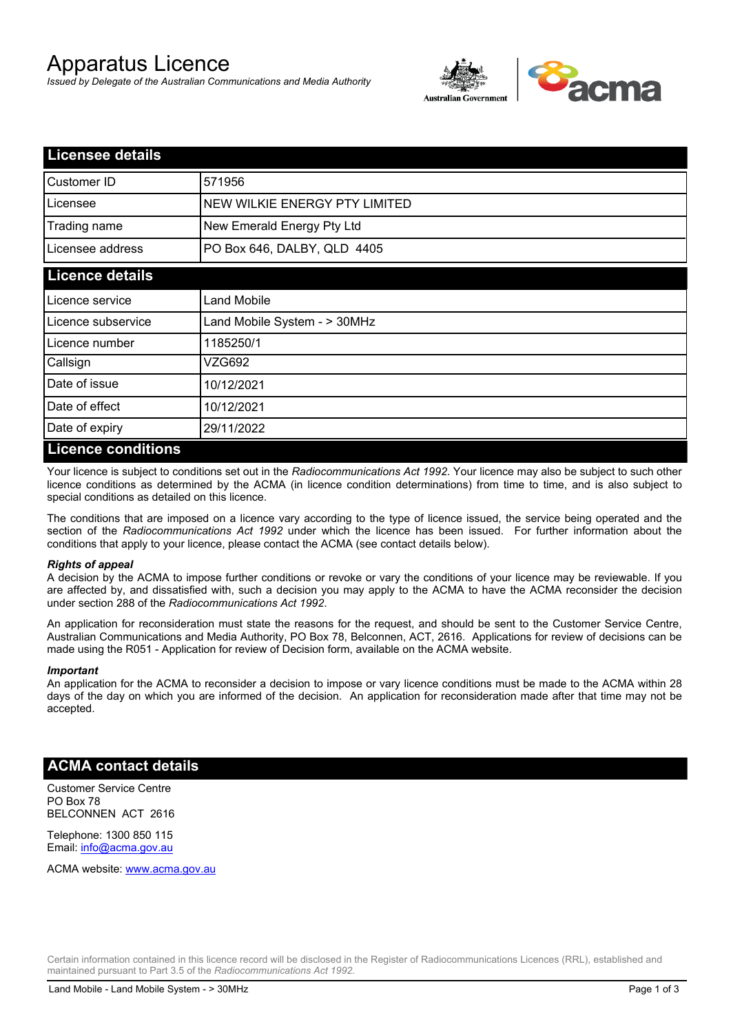# Apparatus Licence

*Issued by Delegate of the Australian Communications and Media Authority*



| <b>Licensee details</b> |                               |
|-------------------------|-------------------------------|
| <b>Customer ID</b>      | 571956                        |
| Licensee                | NEW WILKIE ENERGY PTY LIMITED |
| Trading name            | New Emerald Energy Pty Ltd    |
| Licensee address        | PO Box 646, DALBY, QLD 4405   |
| <b>Licence details</b>  |                               |
| Licence service         | Land Mobile                   |
| Licence subservice      | Land Mobile System - > 30MHz  |
| Licence number          | 1185250/1                     |
| Callsign                | VZG692                        |
| Date of issue           | 10/12/2021                    |
| Date of effect          | 10/12/2021                    |
| Date of expiry          | 29/11/2022                    |
| I iconco conditione     |                               |

#### **Licence conditions**

Your licence is subject to conditions set out in the *Radiocommunications Act 1992*. Your licence may also be subject to such other licence conditions as determined by the ACMA (in licence condition determinations) from time to time, and is also subject to special conditions as detailed on this licence.

The conditions that are imposed on a licence vary according to the type of licence issued, the service being operated and the section of the *Radiocommunications Act 1992* under which the licence has been issued. For further information about the conditions that apply to your licence, please contact the ACMA (see contact details below).

#### *Rights of appeal*

A decision by the ACMA to impose further conditions or revoke or vary the conditions of your licence may be reviewable. If you are affected by, and dissatisfied with, such a decision you may apply to the ACMA to have the ACMA reconsider the decision under section 288 of the *Radiocommunications Act 1992*.

An application for reconsideration must state the reasons for the request, and should be sent to the Customer Service Centre, Australian Communications and Media Authority, PO Box 78, Belconnen, ACT, 2616. Applications for review of decisions can be made using the R051 - Application for review of Decision form, available on the ACMA website.

#### *Important*

An application for the ACMA to reconsider a decision to impose or vary licence conditions must be made to the ACMA within 28 days of the day on which you are informed of the decision. An application for reconsideration made after that time may not be accepted.

### **ACMA contact details**

Customer Service Centre PO Box 78 BELCONNEN ACT 2616

Telephone: 1300 850 115 Email: info@acma.gov.au

ACMA website: www.acma.gov.au

Certain information contained in this licence record will be disclosed in the Register of Radiocommunications Licences (RRL), established and maintained pursuant to Part 3.5 of the *Radiocommunications Act 1992.*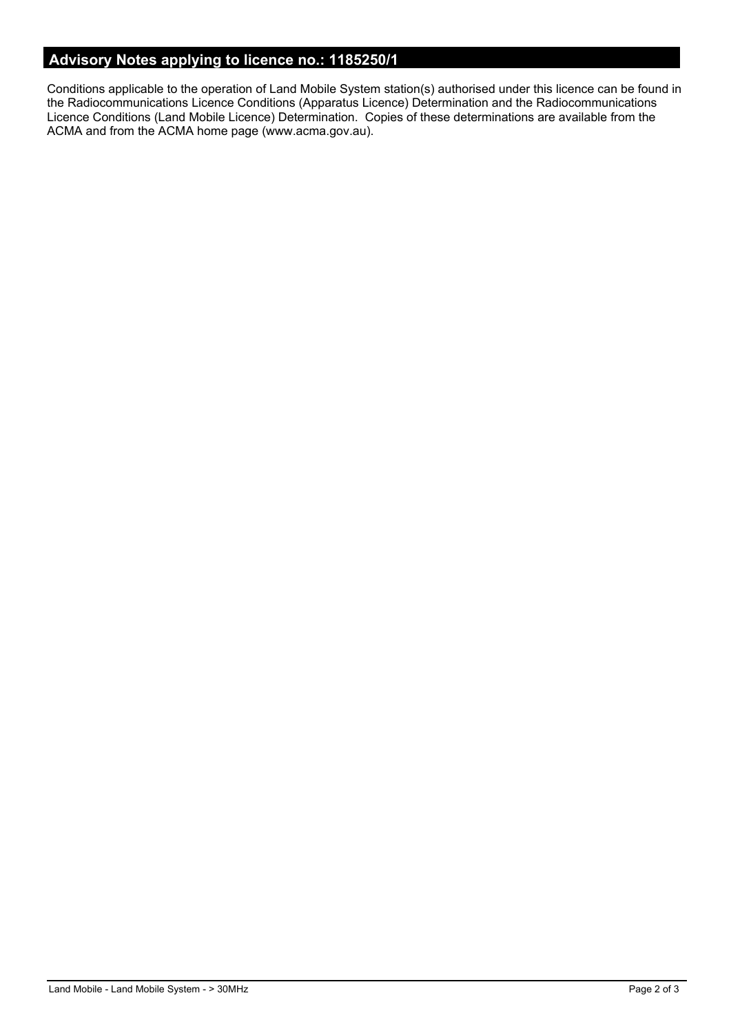## **Advisory Notes applying to licence no.: 1185250/1**

Conditions applicable to the operation of Land Mobile System station(s) authorised under this licence can be found in the Radiocommunications Licence Conditions (Apparatus Licence) Determination and the Radiocommunications Licence Conditions (Land Mobile Licence) Determination. Copies of these determinations are available from the ACMA and from the ACMA home page (www.acma.gov.au).